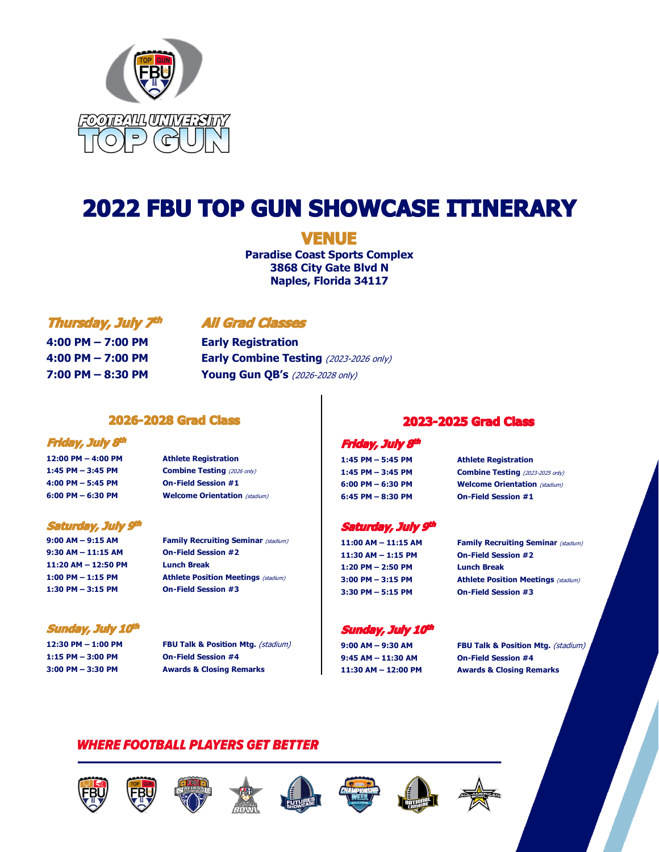

# **2022 FBU TOP GUN SHOWCASE ITINERARY**

# **VENUE**

**Paradise Coast Sports Complex 3868 City Gate Blvd N Naples, Florida 34117**

#### Thursday, July 7th

# **All Grad Classes**

**4:00 PM – 7:00 PM Early Registration**

**4:00 PM – 7:00 PM Early Combine Testing** (2023-2026 only) **7:00 PM – 8:30 PM Young Gun QB's** (2026-2028 only)

#### **2026-2028 Grad Class**

#### Friday, July 8th

**12:00 PM – 4:00 PM Athlete Registration 1:45 PM – 3:45 PM Combine Testing** (2026 only) **4:00 PM – 5:45 PM On-Field Session #1 6:00 PM – 6:30 PM Welcome Orientation** (stadium)

#### Saturday, July 9th

**9:30 AM – 11:15 AM On-Field Session #2 11:20 AM – 12:50 PM Lunch Break 1:30 PM – 3:15 PM On-Field Session #3**

# Sunday, July 10th

**1:15 PM – 3:00 PM On-Field Session #4**

**9:00 AM – 9:15 AM Family Recruiting Seminar** (stadium) **1:00 PM – 1:15 PM Athlete Position Meetings** (stadium)

**12:30 PM – 1:00 PM FBU Talk & Position Mtg.** (stadium)

**3:00 PM – 3:30 PM Awards & Closing Remarks**

#### **2023-2025 Grad Class**

#### Friday, July 8th

**1:45 PM – 5:45 PM Athlete Registration 1:45 PM – 3:45 PM Combine Testing** (2023-2025 only) **6:00 PM – 6:30 PM Welcome Orientation** (stadium) **6:45 PM – 8:30 PM On-Field Session #1**

#### Saturday, July 9th

**11:30 AM – 1:15 PM On-Field Session #2 1:20 PM – 2:50 PM Lunch Break 3:30 PM – 5:15 PM On-Field Session #3**

**11:00 AM – 11:15 AM Family Recruiting Seminar** (stadium)

**3:00 PM – 3:15 PM Athlete Position Meetings** (stadium)

#### Sunday, July 10th

**9:45 AM – 11:30 AM On-Field Session #4**

**9:00 AM – 9:30 AM FBU Talk & Position Mtg.** (stadium) **11:30 AM – 12:00 PM Awards & Closing Remarks**

# *WHERE FOOTBALL PLAYERS GET BETTER*